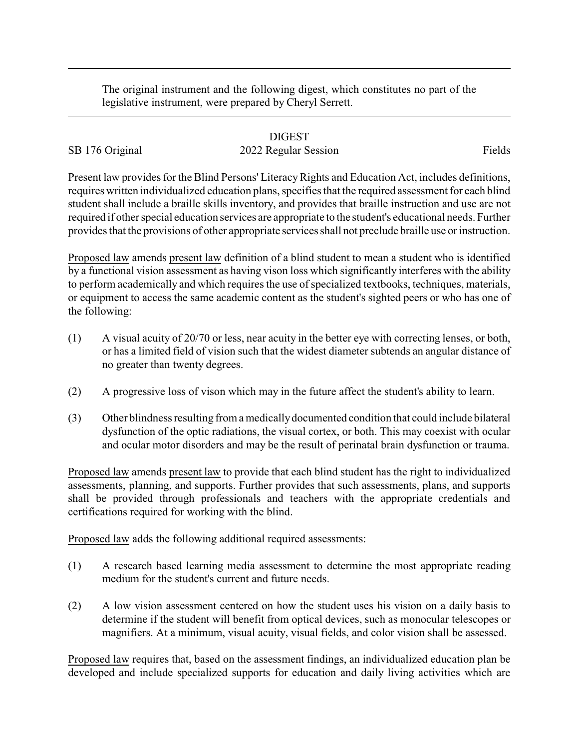The original instrument and the following digest, which constitutes no part of the legislative instrument, were prepared by Cheryl Serrett.

## DIGEST

## SB 176 Original 2022 Regular Session Fields

Present law provides for the Blind Persons' Literacy Rights and Education Act, includes definitions, requires written individualized education plans, specifies that the required assessment for each blind student shall include a braille skills inventory, and provides that braille instruction and use are not required if other special education services are appropriate to the student's educational needs. Further provides that the provisions of other appropriate services shall not preclude braille use or instruction.

Proposed law amends present law definition of a blind student to mean a student who is identified by a functional vision assessment as having vison loss which significantly interferes with the ability to perform academically and which requires the use of specialized textbooks, techniques, materials, or equipment to access the same academic content as the student's sighted peers or who has one of the following:

- (1) A visual acuity of 20/70 or less, near acuity in the better eye with correcting lenses, or both, or has a limited field of vision such that the widest diameter subtends an angular distance of no greater than twenty degrees.
- (2) A progressive loss of vison which may in the future affect the student's ability to learn.
- (3) Other blindness resulting from a medicallydocumented condition that could include bilateral dysfunction of the optic radiations, the visual cortex, or both. This may coexist with ocular and ocular motor disorders and may be the result of perinatal brain dysfunction or trauma.

Proposed law amends present law to provide that each blind student has the right to individualized assessments, planning, and supports. Further provides that such assessments, plans, and supports shall be provided through professionals and teachers with the appropriate credentials and certifications required for working with the blind.

Proposed law adds the following additional required assessments:

- (1) A research based learning media assessment to determine the most appropriate reading medium for the student's current and future needs.
- (2) A low vision assessment centered on how the student uses his vision on a daily basis to determine if the student will benefit from optical devices, such as monocular telescopes or magnifiers. At a minimum, visual acuity, visual fields, and color vision shall be assessed.

Proposed law requires that, based on the assessment findings, an individualized education plan be developed and include specialized supports for education and daily living activities which are